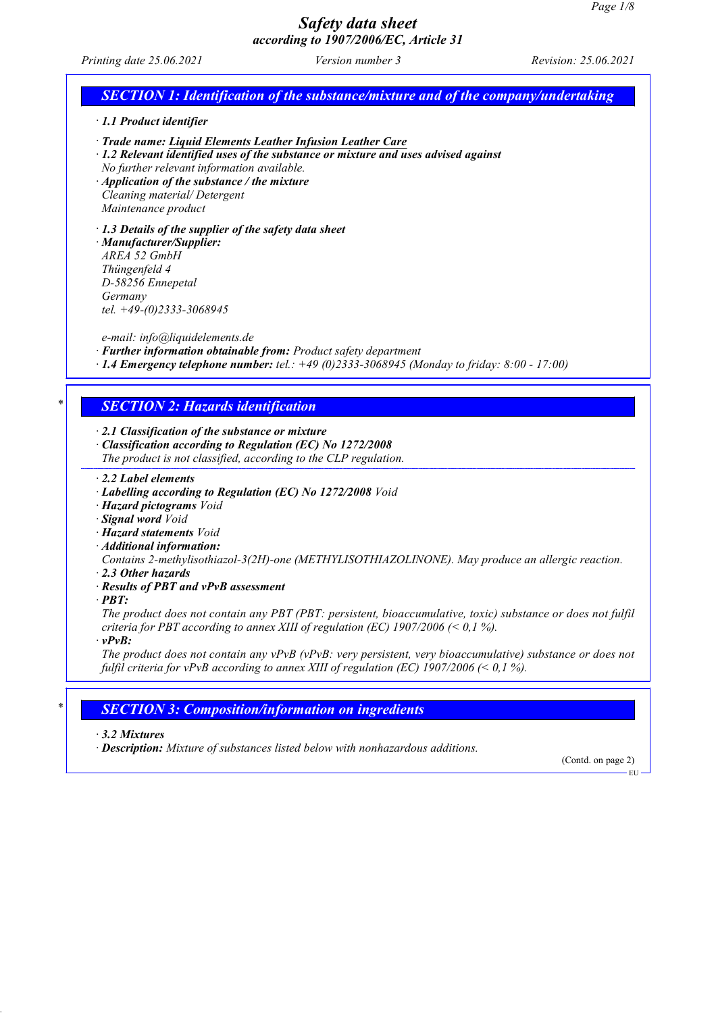*Printing date 25.06.2021 Version number 3 Revision: 25.06.2021*

# *SECTION 1: Identification of the substance/mixture and of the company/undertaking*

*· 1.1 Product identifier*

- *· Trade name: Liquid Elements Leather Infusion Leather Care*
- *· 1.2 Relevant identified uses of the substance or mixture and uses advised against*

*No further relevant information available.*

*· Application of the substance / the mixture Cleaning material/ Detergent Maintenance product*

*· 1.3 Details of the supplier of the safety data sheet*

*· Manufacturer/Supplier: AREA 52 GmbH Thüngenfeld 4 D-58256 Ennepetal Germany tel. +49-(0)2333-3068945*

*e-mail: info@liquidelements.de*

*· Further information obtainable from: Product safety department*

*· 1.4 Emergency telephone number: tel.: +49 (0)2333-3068945 (Monday to friday: 8:00 - 17:00)*

## *\* SECTION 2: Hazards identification*

*· 2.1 Classification of the substance or mixture*

*· Classification according to Regulation (EC) No 1272/2008*

*The product is not classified, according to the CLP regulation.*

*· 2.2 Label elements*

- *· Labelling according to Regulation (EC) No 1272/2008 Void*
- *· Hazard pictograms Void*
- *· Signal word Void*
- *· Hazard statements Void*
- *· Additional information:*

*Contains 2-methylisothiazol-3(2H)-one (METHYLISOTHIAZOLINONE). May produce an allergic reaction.*

- *· 2.3 Other hazards*
- *· Results of PBT and vPvB assessment*
- *· PBT:*

*The product does not contain any PBT (PBT: persistent, bioaccumulative, toxic) substance or does not fulfil criteria for PBT according to annex XIII of regulation (EC) 1907/2006 (< 0,1 %).*

*· vPvB:*

*The product does not contain any vPvB (vPvB: very persistent, very bioaccumulative) substance or does not fulfil criteria for vPvB according to annex XIII of regulation (EC) 1907/2006 (< 0,1 %).*

## *\* SECTION 3: Composition/information on ingredients*

*· 3.2 Mixtures*

*· Description: Mixture of substances listed below with nonhazardous additions.*

(Contd. on page 2)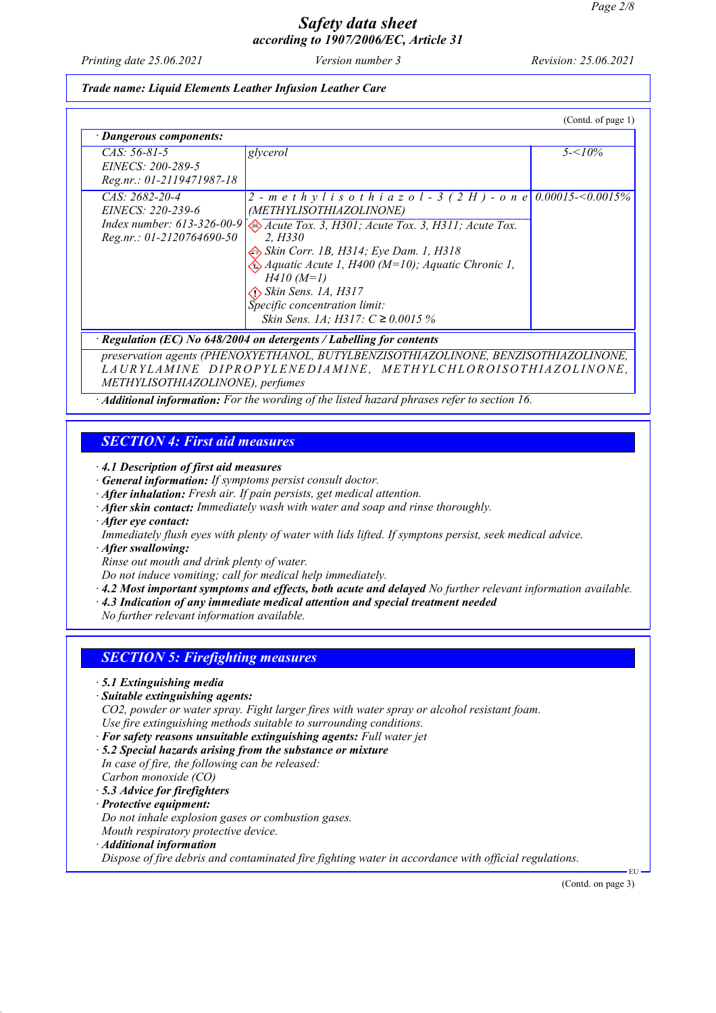*Printing date 25.06.2021 Version number 3 Revision: 25.06.2021*

### *Trade name: Liquid Elements Leather Infusion Leather Care*

| · Dangerous components:                                                                              |                                                                                                                                                                                                                                                                                                                                                                                              |            |
|------------------------------------------------------------------------------------------------------|----------------------------------------------------------------------------------------------------------------------------------------------------------------------------------------------------------------------------------------------------------------------------------------------------------------------------------------------------------------------------------------------|------------|
| $CAS: 56-81-5$<br>EINECS: 200-289-5<br>Reg.nr.: 01-2119471987-18                                     | glycerol                                                                                                                                                                                                                                                                                                                                                                                     | $5 - 10\%$ |
| $CAS: 2682-20-4$<br>EINECS: 220-239-6<br>Index number: $613-326-00-9$<br>$Reg.nr.: 01-2120764690-50$ | 2 - methylis othiazol - 3 (2H) - one 0.00015-<0.0015%<br>(METHYLISOTHIAZOLINONE)<br>Acute Tox. 3, H301; Acute Tox. 3, H311; Acute Tox.<br>2. H330<br>Skin Corr. 1B, H314; Eye Dam. 1, H318<br>$\bigotimes$ Aquatic Acute 1, H400 (M=10); Aquatic Chronic 1,<br>$H410 (M=1)$<br>$\bigotimes$ Skin Sens. 1A, H317<br>Specific concentration limit:<br><i>Skin Sens. 1A; H317: C</i> ≥ 0.0015 % |            |

*preservation agents (PHENOXYETHANOL, BUTYLBENZISOTHIAZOLINONE, BENZISOTHIAZOLINONE, L A U R Y L A M I N E D I P R O P Y L E NE D I A M I N E , M E T H Y L C H L O R O I S O T H I AZ O L I N O N E , METHYLISOTHIAZOLINONE), perfumes*

*· Additional information: For the wording of the listed hazard phrases refer to section 16.*

# *SECTION 4: First aid measures*

*· 4.1 Description of first aid measures*

- *· General information: If symptoms persist consult doctor.*
- *· After inhalation: Fresh air. If pain persists, get medical attention.*
- *· After skin contact: Immediately wash with water and soap and rinse thoroughly.*

*· After eye contact:*

- *Immediately flush eyes with plenty of water with lids lifted. If symptons persist, seek medical advice.*
- *· After swallowing:*
- *Rinse out mouth and drink plenty of water.*

*Do not induce vomiting; call for medical help immediately.*

- *· 4.2 Most important symptoms and effects, both acute and delayed No further relevant information available.*
- *· 4.3 Indication of any immediate medical attention and special treatment needed*

*No further relevant information available.*

## *SECTION 5: Firefighting measures*

- *· 5.1 Extinguishing media*
- *· Suitable extinguishing agents:*

*CO2, powder or water spray. Fight larger fires with water spray or alcohol resistant foam. Use fire extinguishing methods suitable to surrounding conditions.*

- *· For safety reasons unsuitable extinguishing agents: Full water jet*
- *· 5.2 Special hazards arising from the substance or mixture*
- *In case of fire, the following can be released: Carbon monoxide (CO)*
- *· 5.3 Advice for firefighters*
- *· Protective equipment:*

*Do not inhale explosion gases or combustion gases.*

- *Mouth respiratory protective device.*
- *· Additional information*

*Dispose of fire debris and contaminated fire fighting water in accordance with official regulations.*

(Contd. on page 3)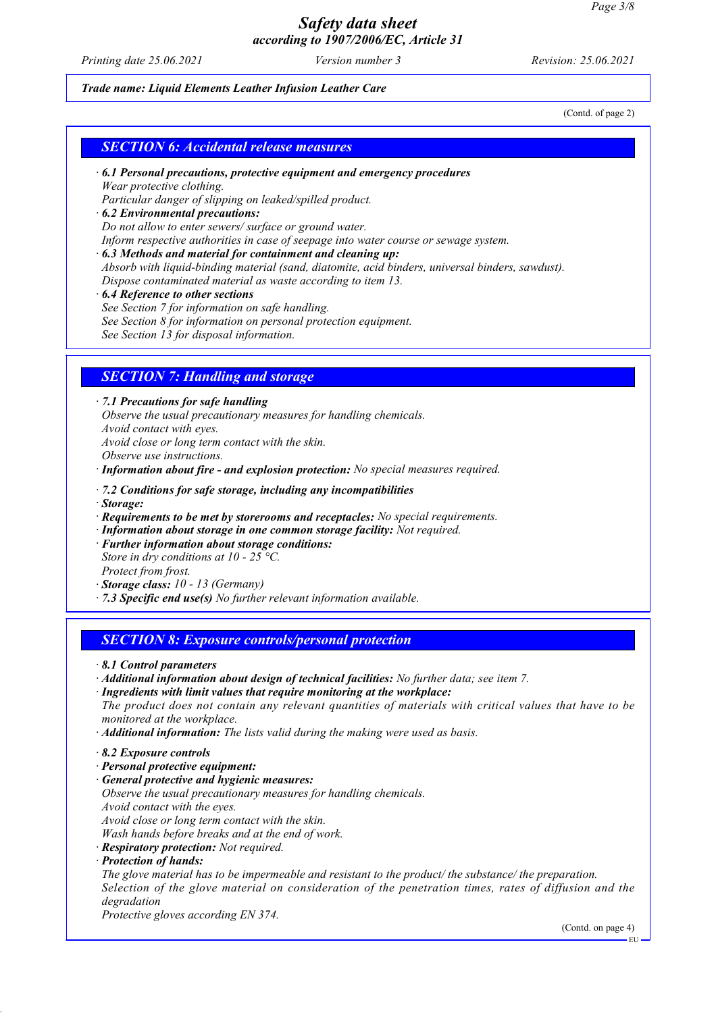*Printing date 25.06.2021 Version number 3 Revision: 25.06.2021*

### *Trade name: Liquid Elements Leather Infusion Leather Care*

(Contd. of page 2)

## *SECTION 6: Accidental release measures*

*· 6.1 Personal precautions, protective equipment and emergency procedures Wear protective clothing.*

*Particular danger of slipping on leaked/spilled product.*

- *· 6.2 Environmental precautions: Do not allow to enter sewers/ surface or ground water. Inform respective authorities in case of seepage into water course or sewage system.*
- *· 6.3 Methods and material for containment and cleaning up: Absorb with liquid-binding material (sand, diatomite, acid binders, universal binders, sawdust). Dispose contaminated material as waste according to item 13.*
- *· 6.4 Reference to other sections See Section 7 for information on safe handling. See Section 8 for information on personal protection equipment. See Section 13 for disposal information.*

## *SECTION 7: Handling and storage*

*· 7.1 Precautions for safe handling*

*Observe the usual precautionary measures for handling chemicals. Avoid contact with eyes. Avoid close or long term contact with the skin.*

*Observe use instructions.*

*· Information about fire - and explosion protection: No special measures required.*

- *· 7.2 Conditions for safe storage, including any incompatibilities*
- *· Storage:*
- *· Requirements to be met by storerooms and receptacles: No special requirements.*
- *· Information about storage in one common storage facility: Not required.*
- *· Further information about storage conditions: Store in dry conditions at 10 - 25 °C. Protect from frost.*
- *· Storage class: 10 13 (Germany)*
- *· 7.3 Specific end use(s) No further relevant information available.*

## *SECTION 8: Exposure controls/personal protection*

- *· Additional information about design of technical facilities: No further data; see item 7.*
- *· Ingredients with limit values that require monitoring at the workplace:*

*The product does not contain any relevant quantities of materials with critical values that have to be monitored at the workplace.*

- *· Additional information: The lists valid during the making were used as basis.*
- *· 8.2 Exposure controls*
- *· Personal protective equipment:*
- *· General protective and hygienic measures:*

*Observe the usual precautionary measures for handling chemicals.*

- *Avoid contact with the eyes.*
- *Avoid close or long term contact with the skin.*
- *Wash hands before breaks and at the end of work.*
- *· Respiratory protection: Not required.*
- *· Protection of hands:*

*The glove material has to be impermeable and resistant to the product/ the substance/ the preparation. Selection of the glove material on consideration of the penetration times, rates of diffusion and the degradation*

*Protective gloves according EN 374.*

(Contd. on page 4)

*<sup>·</sup> 8.1 Control parameters*

EU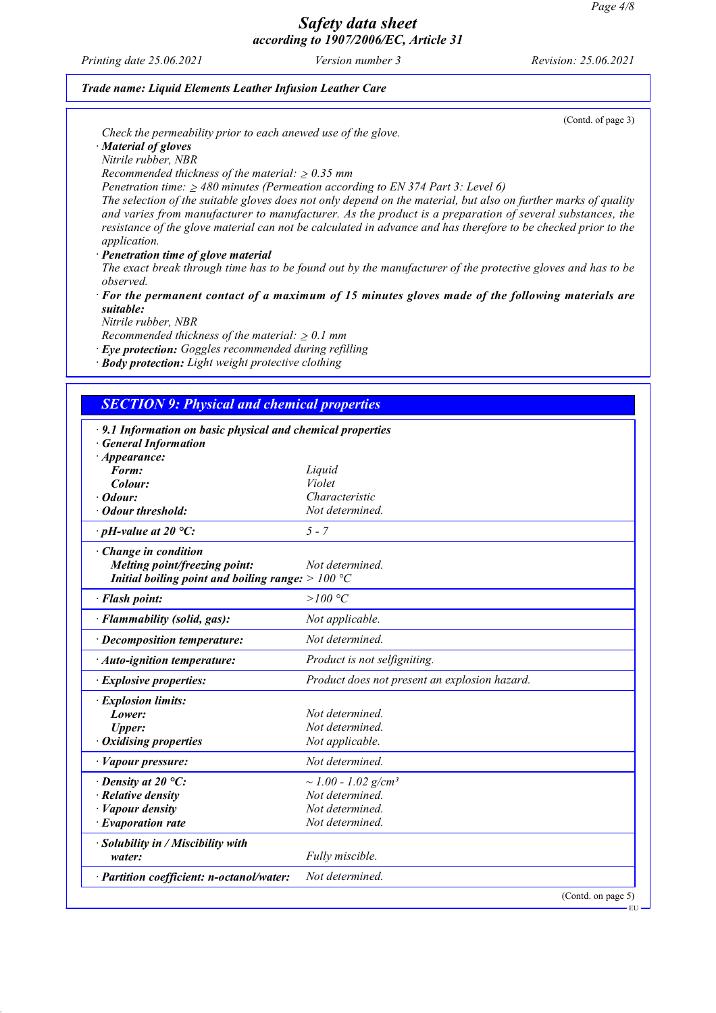*Printing date 25.06.2021 Version number 3 Revision: 25.06.2021*

### *Trade name: Liquid Elements Leather Infusion Leather Care*

*Check the permeability prior to each anewed use of the glove.*

*· Material of gloves*

*Nitrile rubber, NBR*

*Recommended thickness of the material:*  $\geq 0.35$  *mm* 

*Penetration time: 480 minutes (Permeation according to EN 374 Part 3: Level 6)*

*The selection of the suitable gloves does not only depend on the material, but also on further marks of quality and varies from manufacturer to manufacturer. As the product is a preparation of several substances, the resistance of the glove material can not be calculated in advance and has therefore to be checked prior to the application.*

*· Penetration time of glove material*

*The exact break through time has to be found out by the manufacturer of the protective gloves and has to be observed.*

*· For the permanent contact of a maximum of 15 minutes gloves made of the following materials are suitable:*

*Nitrile rubber, NBR*

*Recommended thickness of the material:*  $\geq 0.1$  *mm* 

*· Eye protection: Goggles recommended during refilling*

*· Body protection: Light weight protective clothing*

## *SECTION 9: Physical and chemical properties*

| $\cdot$ 9.1 Information on basic physical and chemical properties<br><b>General Information</b> |                                               |
|-------------------------------------------------------------------------------------------------|-----------------------------------------------|
| $\cdot$ Appearance:                                                                             |                                               |
| Form:                                                                                           | Liquid                                        |
| Colour:                                                                                         | Violet                                        |
| · Odour:                                                                                        | Characteristic                                |
| · Odour threshold:                                                                              | Not determined.                               |
| $\cdot$ pH-value at 20 $\degree$ C:                                                             | $5 - 7$                                       |
| Change in condition                                                                             |                                               |
| Melting point/freezing point:                                                                   | Not determined.                               |
| Initial boiling point and boiling range: $>100 °C$                                              |                                               |
| · Flash point:                                                                                  | $>$ 100 $^{\circ}C$                           |
| · Flammability (solid, gas):                                                                    | Not applicable.                               |
| · Decomposition temperature:                                                                    | Not determined.                               |
| $\cdot$ Auto-ignition temperature:                                                              | Product is not selfigniting.                  |
| · Explosive properties:                                                                         | Product does not present an explosion hazard. |
| · Explosion limits:                                                                             |                                               |
| Lower:                                                                                          | Not determined.                               |
| <b>Upper:</b>                                                                                   | Not determined.                               |
| $\cdot$ Oxidising properties                                                                    | Not applicable.                               |
| · Vapour pressure:                                                                              | Not determined.                               |
| $\cdot$ Density at 20 °C:                                                                       | $\sim$ 1.00 - 1.02 g/cm <sup>3</sup>          |
| $\cdot$ Relative density                                                                        | Not determined.                               |
| · Vapour density                                                                                | Not determined.                               |
| $\cdot$ Evaporation rate                                                                        | Not determined.                               |
| · Solubility in / Miscibility with                                                              |                                               |
| water:                                                                                          | Fully miscible.                               |
| · Partition coefficient: n-octanol/water:                                                       | Not determined.                               |
|                                                                                                 | (Contd. on page 5)                            |

(Contd. of page 3)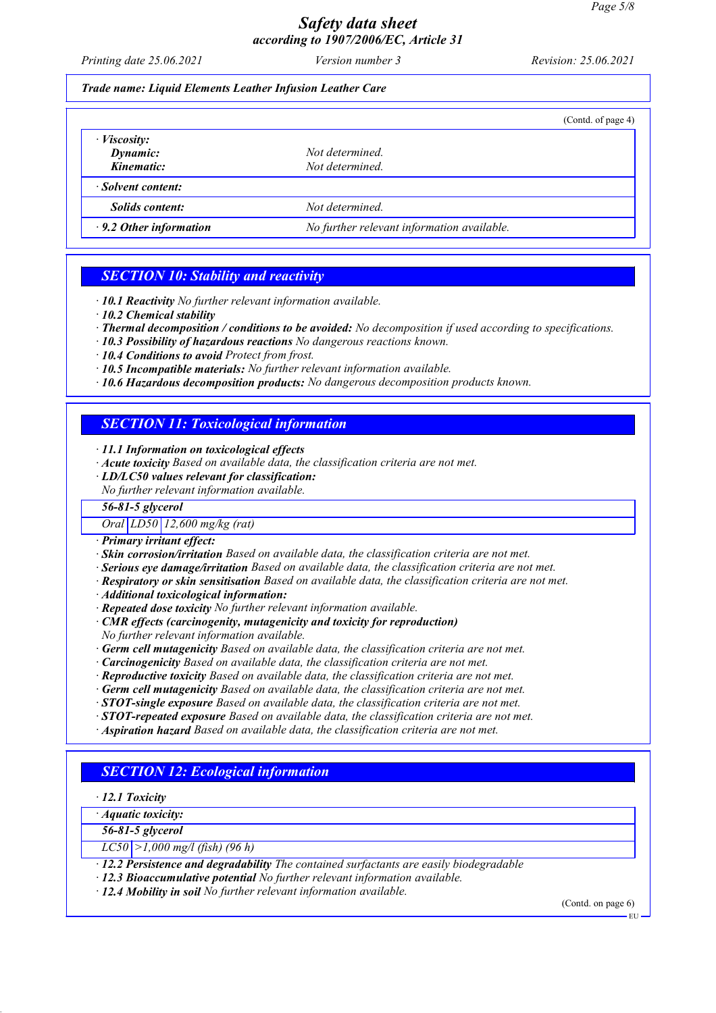*Printing date 25.06.2021 Version number 3 Revision: 25.06.2021*

### *Trade name: Liquid Elements Leather Infusion Leather Care*

|                                       |                                            | (Contd. of page 4) |
|---------------------------------------|--------------------------------------------|--------------------|
| $\cdot$ <i>Viscosity:</i><br>Dynamic: | Not determined.                            |                    |
| Kinematic:                            | Not determined.                            |                    |
| · Solvent content:                    |                                            |                    |
| <b>Solids content:</b>                | Not determined.                            |                    |
| $\cdot$ 9.2 Other information         | No further relevant information available. |                    |

## *SECTION 10: Stability and reactivity*

*· 10.1 Reactivity No further relevant information available.*

- *· 10.2 Chemical stability*
- *· Thermal decomposition / conditions to be avoided: No decomposition if used according to specifications.*
- *· 10.3 Possibility of hazardous reactions No dangerous reactions known.*
- *· 10.4 Conditions to avoid Protect from frost.*
- *· 10.5 Incompatible materials: No further relevant information available.*
- *· 10.6 Hazardous decomposition products: No dangerous decomposition products known.*

# *SECTION 11: Toxicological information*

- *· 11.1 Information on toxicological effects*
- *· Acute toxicity Based on available data, the classification criteria are not met.*
- *· LD/LC50 values relevant for classification:*
- *No further relevant information available.*

## *56-81-5 glycerol*

*Oral LD50 12,600 mg/kg (rat)*

- *· Primary irritant effect:*
- *· Skin corrosion/irritation Based on available data, the classification criteria are not met.*
- *· Serious eye damage/irritation Based on available data, the classification criteria are not met.*
- *· Respiratory or skin sensitisation Based on available data, the classification criteria are not met.*
- *· Additional toxicological information:*
- *· Repeated dose toxicity No further relevant information available.*
- *· CMR effects (carcinogenity, mutagenicity and toxicity for reproduction)*
- *No further relevant information available.*
- *· Germ cell mutagenicity Based on available data, the classification criteria are not met.*
- *· Carcinogenicity Based on available data, the classification criteria are not met.*
- *· Reproductive toxicity Based on available data, the classification criteria are not met.*
- *· Germ cell mutagenicity Based on available data, the classification criteria are not met.*
- *· STOT-single exposure Based on available data, the classification criteria are not met.*
- *· STOT-repeated exposure Based on available data, the classification criteria are not met.*
- *· Aspiration hazard Based on available data, the classification criteria are not met.*

## *SECTION 12: Ecological information*

*· 12.1 Toxicity*

*· Aquatic toxicity:*

*56-81-5 glycerol*

*LC50 >1,000 mg/l (fish) (96 h)*

- *· 12.2 Persistence and degradability The contained surfactants are easily biodegradable*
- *· 12.3 Bioaccumulative potential No further relevant information available.*
- *· 12.4 Mobility in soil No further relevant information available.*

(Contd. on page 6)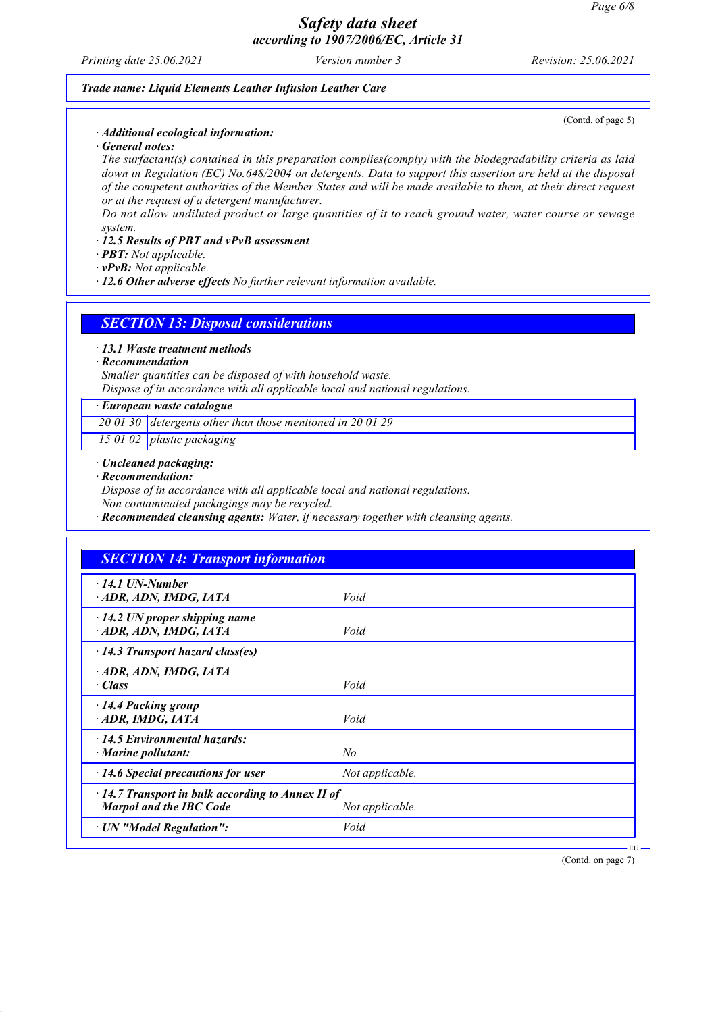*Printing date 25.06.2021 Version number 3 Revision: 25.06.2021*

(Contd. of page 5)

#### *Trade name: Liquid Elements Leather Infusion Leather Care*

*· Additional ecological information:*

*· General notes:*

*The surfactant(s) contained in this preparation complies(comply) with the biodegradability criteria as laid down in Regulation (EC) No.648/2004 on detergents. Data to support this assertion are held at the disposal of the competent authorities of the Member States and will be made available to them, at their direct request or at the request of a detergent manufacturer.*

*Do not allow undiluted product or large quantities of it to reach ground water, water course or sewage system.*

### *· 12.5 Results of PBT and vPvB assessment*

*· PBT: Not applicable.*

*· vPvB: Not applicable.*

*· 12.6 Other adverse effects No further relevant information available.*

*SECTION 13: Disposal considerations*

*· 13.1 Waste treatment methods*

### *· Recommendation*

*Smaller quantities can be disposed of with household waste. Dispose of in accordance with all applicable local and national regulations.*

### *· European waste catalogue*

*20 01 30 detergents other than those mentioned in 20 01 29*

*15 01 02 plastic packaging*

*· Uncleaned packaging:*

*· Recommendation:*

*Dispose of in accordance with all applicable local and national regulations.*

*Non contaminated packagings may be recycled.*

*· Recommended cleansing agents: Water, if necessary together with cleansing agents.*

| <b>SECTION 14: Transport information</b>                                                  |                 |  |
|-------------------------------------------------------------------------------------------|-----------------|--|
| $\cdot$ 14.1 UN-Number<br>· ADR, ADN, IMDG, IATA                                          | Void            |  |
| $\cdot$ 14.2 UN proper shipping name<br>ADR, ADN, IMDG, IATA                              | Void            |  |
| $\cdot$ 14.3 Transport hazard class(es)                                                   |                 |  |
| ADR, ADN, IMDG, IATA<br>$\cdot$ Class                                                     | Void            |  |
| $\cdot$ 14.4 Packing group<br>ADR, IMDG, IATA                                             | Void            |  |
| 14.5 Environmental hazards:<br>$\cdot$ Marine pollutant:                                  | No              |  |
| $\cdot$ 14.6 Special precautions for user                                                 | Not applicable. |  |
| $\cdot$ 14.7 Transport in bulk according to Annex II of<br><b>Marpol and the IBC Code</b> | Not applicable. |  |
| · UN "Model Regulation":                                                                  | Void            |  |

(Contd. on page 7)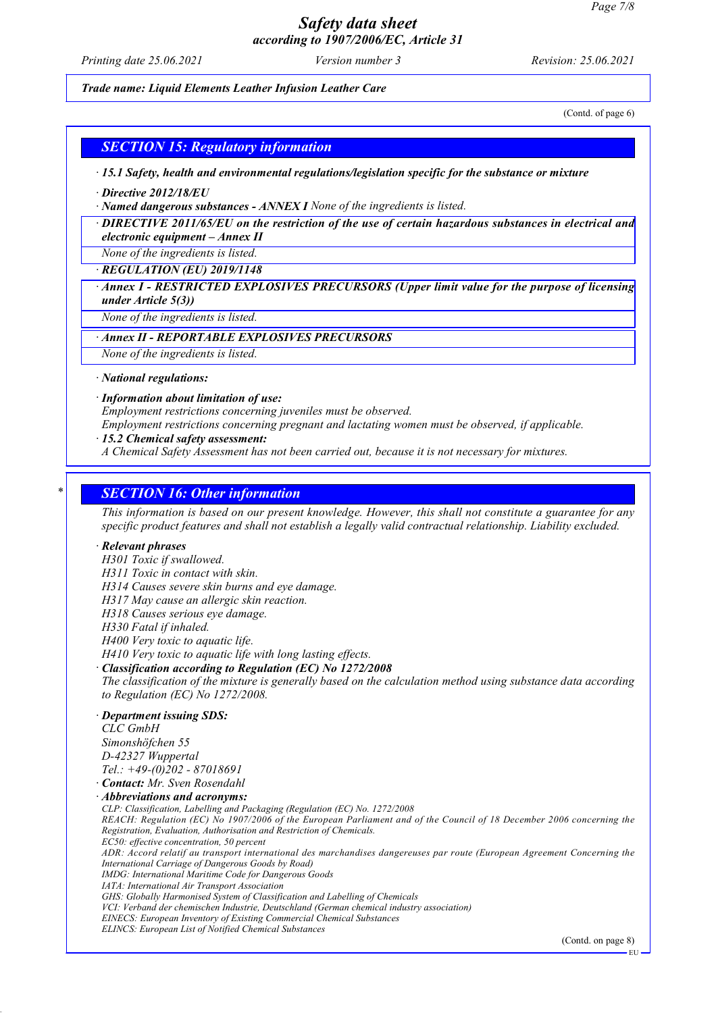*Printing date 25.06.2021 Version number 3 Revision: 25.06.2021*

#### *Trade name: Liquid Elements Leather Infusion Leather Care*

(Contd. of page 6)

## *SECTION 15: Regulatory information*

*· 15.1 Safety, health and environmental regulations/legislation specific for the substance or mixture*

*· Directive 2012/18/EU*

*· Named dangerous substances - ANNEX I None of the ingredients is listed.*

*· DIRECTIVE 2011/65/EU on the restriction of the use of certain hazardous substances in electrical and electronic equipment – Annex II*

*None of the ingredients is listed.*

*· REGULATION (EU) 2019/1148*

*· Annex I - RESTRICTED EXPLOSIVES PRECURSORS (Upper limit value for the purpose of licensing under Article 5(3))*

*None of the ingredients is listed.*

## *· Annex II - REPORTABLE EXPLOSIVES PRECURSORS*

*None of the ingredients is listed.*

*· National regulations:*

#### *· Information about limitation of use:*

*Employment restrictions concerning juveniles must be observed.*

*Employment restrictions concerning pregnant and lactating women must be observed, if applicable.*

#### *· 15.2 Chemical safety assessment:*

*A Chemical Safety Assessment has not been carried out, because it is not necessary for mixtures.*

### *\* SECTION 16: Other information*

*This information is based on our present knowledge. However, this shall not constitute a guarantee for any specific product features and shall not establish a legally valid contractual relationship. Liability excluded.*

#### *· Relevant phrases*

- *H301 Toxic if swallowed.*
- *H311 Toxic in contact with skin.*
- *H314 Causes severe skin burns and eye damage.*
- *H317 May cause an allergic skin reaction.*
- *H318 Causes serious eye damage.*
- *H330 Fatal if inhaled.*
- *H400 Very toxic to aquatic life.*
- *H410 Very toxic to aquatic life with long lasting effects.*

*· Classification according to Regulation (EC) No 1272/2008*

*The classification of the mixture is generally based on the calculation method using substance data according to Regulation (EC) No 1272/2008.*

### *· Department issuing SDS:*

*CLC GmbH Simonshöfchen 55 D-42327 Wuppertal Tel.: +49-(0)202 - 87018691*

*· Contact: Mr. Sven Rosendahl*

*· Abbreviations and acronyms:*

*CLP: Classification, Labelling and Packaging (Regulation (EC) No. 1272/2008*

*REACH: Regulation (EC) No 1907/2006 of the European Parliament and of the Council of 18 December 2006 concerning the Registration, Evaluation, Authorisation and Restriction of Chemicals.*

*EC50: effective concentration, 50 percent*

*ADR: Accord relatif au transport international des marchandises dangereuses par route (European Agreement Concerning the International Carriage of Dangerous Goods by Road)*

*IMDG: International Maritime Code for Dangerous Goods*

*IATA: International Air Transport Association*

*GHS: Globally Harmonised System of Classification and Labelling of Chemicals*

*VCI: Verband der chemischen Industrie, Deutschland (German chemical industry association) EINECS: European Inventory of Existing Commercial Chemical Substances*

*ELINCS: European List of Notified Chemical Substances*